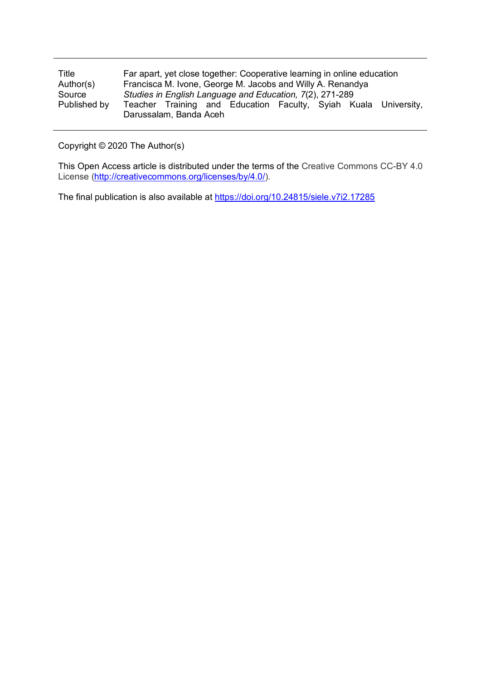| Title        | Far apart, yet close together: Cooperative learning in online education |
|--------------|-------------------------------------------------------------------------|
| Author(s)    | Francisca M. Ivone, George M. Jacobs and Willy A. Renandya              |
| Source       | Studies in English Language and Education, 7(2), 271-289                |
| Published by | Teacher Training and Education Faculty, Syiah Kuala University,         |
|              | Darussalam, Banda Aceh                                                  |

Copyright © 2020 The Author(s)

This Open Access article is distributed under the terms of the Creative Commons CC-BY 4.0 License [\(http://creativecommons.org/licenses/by/4.0/\)](http://creativecommons.org/licenses/by/4.0/).

The final publication is also available at<https://doi.org/10.24815/siele.v7i2.17285>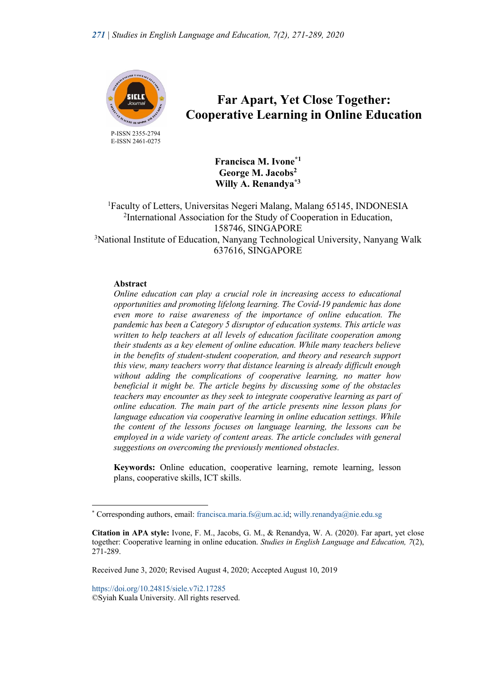

 P-ISSN 2355-2794 E-ISSN 2461-0275

# **Far Apart, Yet Close Together: Cooperative Learning in Online Education**

**Francisca M. Ivone\*1 George M. Jacobs2 Willy A. Renandya\*3**

<sup>1</sup>Faculty of Letters, Universitas Negeri Malang, Malang 65145, INDONESIA <sup>2</sup>International Association for the Study of Cooperation in Education, 158746, SINGAPORE <sup>3</sup>National Institute of Education, Nanyang Technological University, Nanyang Walk 637616, SINGAPORE

#### **Abstract**

*Online education can play a crucial role in increasing access to educational opportunities and promoting lifelong learning. The Covid-19 pandemic has done even more to raise awareness of the importance of online education. The pandemic has been a Category 5 disruptor of education systems. This article was written to help teachers at all levels of education facilitate cooperation among their students as a key element of online education. While many teachers believe in the benefits of student-student cooperation, and theory and research support this view, many teachers worry that distance learning is already difficult enough without adding the complications of cooperative learning, no matter how beneficial it might be. The article begins by discussing some of the obstacles teachers may encounter as they seek to integrate cooperative learning as part of online education. The main part of the article presents nine lesson plans for language education via cooperative learning in online education settings. While the content of the lessons focuses on language learning, the lessons can be*  employed in a wide variety of content areas. The article concludes with general *suggestions on overcoming the previously mentioned obstacles.*

**Keywords:** Online education, cooperative learning, remote learning, lesson plans, cooperative skills, ICT skills.

https://doi.org/10.24815/siele.v7i2.17285 ©Syiah Kuala University. All rights reserved.

<sup>\*</sup> Corresponding authors, email: francisca.maria.fs@um.ac.id; willy.renandya@nie.edu.sg

**Citation in APA style:** Ivone, F. M., Jacobs, G. M., & Renandya, W. A. (2020). Far apart, yet close together: Cooperative learning in online education. *Studies in English Language and Education, 7*(2), 271-289.

Received June 3, 2020; Revised August 4, 2020; Accepted August 10, 2019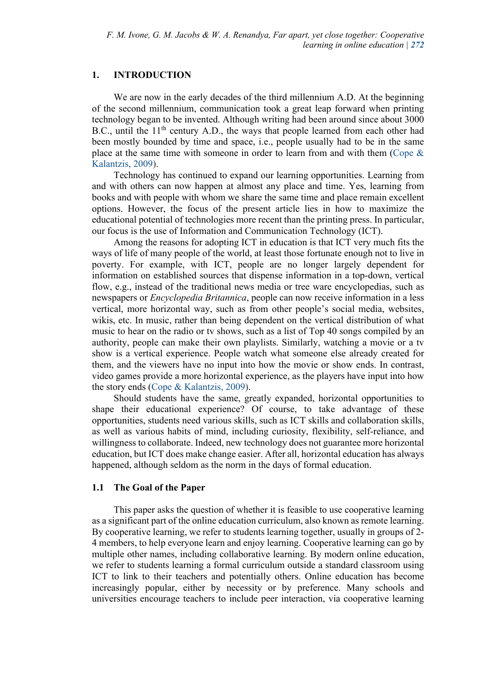#### **1. INTRODUCTION**

We are now in the early decades of the third millennium A.D. At the beginning of the second millennium, communication took a great leap forward when printing technology began to be invented. Although writing had been around since about 3000 B.C., until the  $11<sup>th</sup>$  century A.D., the ways that people learned from each other had been mostly bounded by time and space, i.e., people usually had to be in the same place at the same time with someone in order to learn from and with them (Cope & Kalantzis, 2009).

Technology has continued to expand our learning opportunities. Learning from and with others can now happen at almost any place and time. Yes, learning from books and with people with whom we share the same time and place remain excellent options. However, the focus of the present article lies in how to maximize the educational potential of technologies more recent than the printing press. In particular, our focus is the use of Information and Communication Technology (ICT).

Among the reasons for adopting ICT in education is that ICT very much fits the ways of life of many people of the world, at least those fortunate enough not to live in poverty. For example, with ICT, people are no longer largely dependent for information on established sources that dispense information in a top-down, vertical flow, e.g., instead of the traditional news media or tree ware encyclopedias, such as newspapers or *Encyclopedia Britannica*, people can now receive information in a less vertical, more horizontal way, such as from other people's social media, websites, wikis, etc. In music, rather than being dependent on the vertical distribution of what music to hear on the radio or tv shows, such as a list of Top 40 songs compiled by an authority, people can make their own playlists. Similarly, watching a movie or a tv show is a vertical experience. People watch what someone else already created for them, and the viewers have no input into how the movie or show ends. In contrast, video games provide a more horizontal experience, as the players have input into how the story ends (Cope & Kalantzis, 2009).

Should students have the same, greatly expanded, horizontal opportunities to shape their educational experience? Of course, to take advantage of these opportunities, students need various skills, such as ICT skills and collaboration skills, as well as various habits of mind, including curiosity, flexibility, self-reliance, and willingness to collaborate. Indeed, new technology does not guarantee more horizontal education, but ICT does make change easier. After all, horizontal education has always happened, although seldom as the norm in the days of formal education.

#### **1.1 The Goal of the Paper**

This paper asks the question of whether it is feasible to use cooperative learning as a significant part of the online education curriculum, also known as remote learning. By cooperative learning, we refer to students learning together, usually in groups of 2- 4 members, to help everyone learn and enjoy learning. Cooperative learning can go by multiple other names, including collaborative learning. By modern online education, we refer to students learning a formal curriculum outside a standard classroom using ICT to link to their teachers and potentially others. Online education has become increasingly popular, either by necessity or by preference. Many schools and universities encourage teachers to include peer interaction, via cooperative learning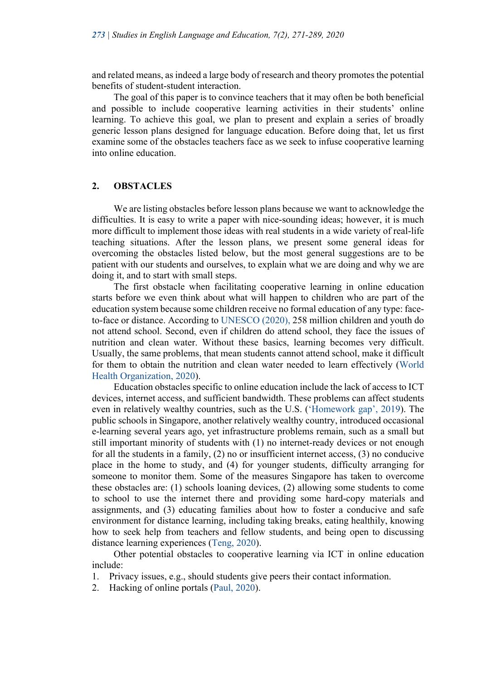and related means, as indeed a large body of research and theory promotes the potential benefits of student-student interaction.

The goal of this paper is to convince teachers that it may often be both beneficial and possible to include cooperative learning activities in their students' online learning. To achieve this goal, we plan to present and explain a series of broadly generic lesson plans designed for language education. Before doing that, let us first examine some of the obstacles teachers face as we seek to infuse cooperative learning into online education.

#### **2. OBSTACLES**

We are listing obstacles before lesson plans because we want to acknowledge the difficulties. It is easy to write a paper with nice-sounding ideas; however, it is much more difficult to implement those ideas with real students in a wide variety of real-life teaching situations. After the lesson plans, we present some general ideas for overcoming the obstacles listed below, but the most general suggestions are to be patient with our students and ourselves, to explain what we are doing and why we are doing it, and to start with small steps.

The first obstacle when facilitating cooperative learning in online education starts before we even think about what will happen to children who are part of the education system because some children receive no formal education of any type: faceto-face or distance. According to UNESCO (2020), 258 million children and youth do not attend school. Second, even if children do attend school, they face the issues of nutrition and clean water. Without these basics, learning becomes very difficult. Usually, the same problems, that mean students cannot attend school, make it difficult for them to obtain the nutrition and clean water needed to learn effectively (World Health Organization, 2020).

Education obstacles specific to online education include the lack of access to ICT devices, internet access, and sufficient bandwidth. These problems can affect students even in relatively wealthy countries, such as the U.S. ('Homework gap', 2019). The public schools in Singapore, another relatively wealthy country, introduced occasional e-learning several years ago, yet infrastructure problems remain, such as a small but still important minority of students with (1) no internet-ready devices or not enough for all the students in a family, (2) no or insufficient internet access, (3) no conducive place in the home to study, and (4) for younger students, difficulty arranging for someone to monitor them. Some of the measures Singapore has taken to overcome these obstacles are: (1) schools loaning devices, (2) allowing some students to come to school to use the internet there and providing some hard-copy materials and assignments, and (3) educating families about how to foster a conducive and safe environment for distance learning, including taking breaks, eating healthily, knowing how to seek help from teachers and fellow students, and being open to discussing distance learning experiences (Teng, 2020).

Other potential obstacles to cooperative learning via ICT in online education include:

- 1. Privacy issues, e.g., should students give peers their contact information.
- 2. Hacking of online portals (Paul, 2020).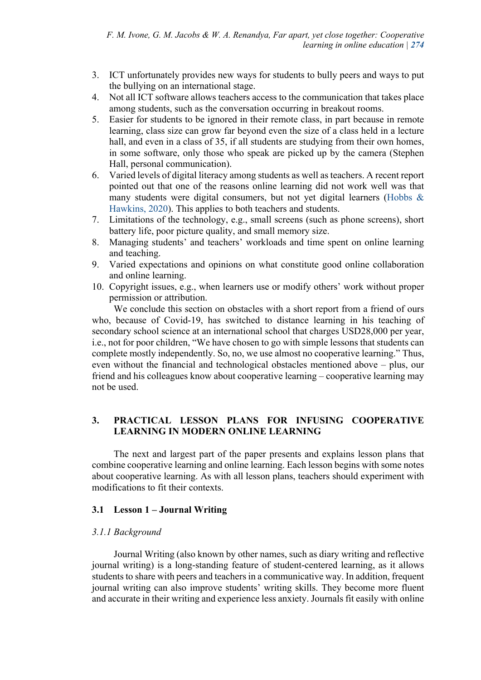- 3. ICT unfortunately provides new ways for students to bully peers and ways to put the bullying on an international stage.
- 4. Not all ICT software allows teachers access to the communication that takes place among students, such as the conversation occurring in breakout rooms.
- 5. Easier for students to be ignored in their remote class, in part because in remote learning, class size can grow far beyond even the size of a class held in a lecture hall, and even in a class of 35, if all students are studying from their own homes, in some software, only those who speak are picked up by the camera (Stephen Hall, personal communication).
- 6. Varied levels of digital literacy among students as well as teachers. A recent report pointed out that one of the reasons online learning did not work well was that many students were digital consumers, but not yet digital learners (Hobbs & Hawkins, 2020). This applies to both teachers and students.
- 7. Limitations of the technology, e.g., small screens (such as phone screens), short battery life, poor picture quality, and small memory size.
- 8. Managing students' and teachers' workloads and time spent on online learning and teaching.
- 9. Varied expectations and opinions on what constitute good online collaboration and online learning.
- 10. Copyright issues, e.g., when learners use or modify others' work without proper permission or attribution.

We conclude this section on obstacles with a short report from a friend of ours who, because of Covid-19, has switched to distance learning in his teaching of secondary school science at an international school that charges USD28,000 per year, i.e., not for poor children, "We have chosen to go with simple lessons that students can complete mostly independently. So, no, we use almost no cooperative learning." Thus, even without the financial and technological obstacles mentioned above – plus, our friend and his colleagues know about cooperative learning – cooperative learning may not be used.

# **3. PRACTICAL LESSON PLANS FOR INFUSING COOPERATIVE LEARNING IN MODERN ONLINE LEARNING**

The next and largest part of the paper presents and explains lesson plans that combine cooperative learning and online learning. Each lesson begins with some notes about cooperative learning. As with all lesson plans, teachers should experiment with modifications to fit their contexts.

#### **3.1 Lesson 1 – Journal Writing**

#### *3.1.1 Background*

Journal Writing (also known by other names, such as diary writing and reflective journal writing) is a long-standing feature of student-centered learning, as it allows students to share with peers and teachers in a communicative way. In addition, frequent journal writing can also improve students' writing skills. They become more fluent and accurate in their writing and experience less anxiety. Journals fit easily with online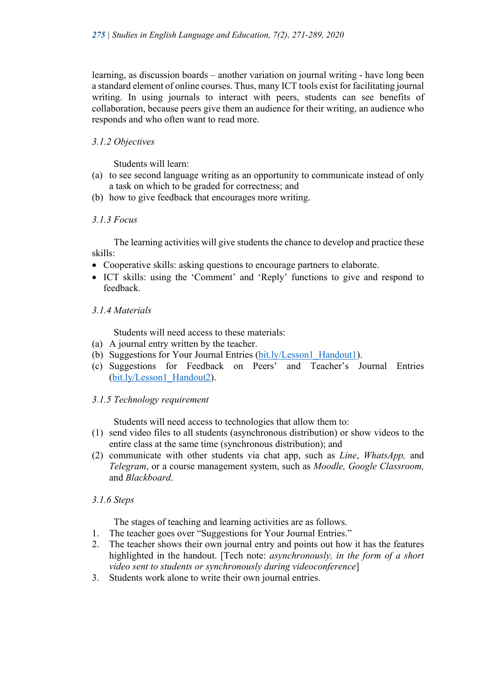learning, as discussion boards – another variation on journal writing - have long been a standard element of online courses. Thus, many ICT tools exist for facilitating journal writing. In using journals to interact with peers, students can see benefits of collaboration, because peers give them an audience for their writing, an audience who responds and who often want to read more.

### *3.1.2 Objectives*

Students will learn:

- (a) to see second language writing as an opportunity to communicate instead of only a task on which to be graded for correctness; and
- (b) how to give feedback that encourages more writing.

#### *3.1.3 Focus*

The learning activities will give students the chance to develop and practice these skills:

- Cooperative skills: asking questions to encourage partners to elaborate.
- ICT skills: using the 'Comment' and 'Reply' functions to give and respond to feedback.

#### *3.1.4 Materials*

Students will need access to these materials:

- (a) A journal entry written by the teacher.
- (b) Suggestions for Your Journal Entries (bit.ly/Lesson1\_Handout1).
- (c) Suggestions for Feedback on Peers' and Teacher's Journal Entries (bit.ly/Lesson1\_Handout2).

#### *3.1.5 Technology requirement*

Students will need access to technologies that allow them to:

- (1) send video files to all students (asynchronous distribution) or show videos to the entire class at the same time (synchronous distribution); and
- (2) communicate with other students via chat app, such as *Line*, *WhatsApp,* and *Telegram*, or a course management system, such as *Moodle, Google Classroom,*  and *Blackboard*.

#### *3.1.6 Steps*

The stages of teaching and learning activities are as follows.

- 1. The teacher goes over "Suggestions for Your Journal Entries."
- 2. The teacher shows their own journal entry and points out how it has the features highlighted in the handout. [Tech note: *asynchronously, in the form of a short video sent to students or synchronously during videoconference*]
- 3. Students work alone to write their own journal entries.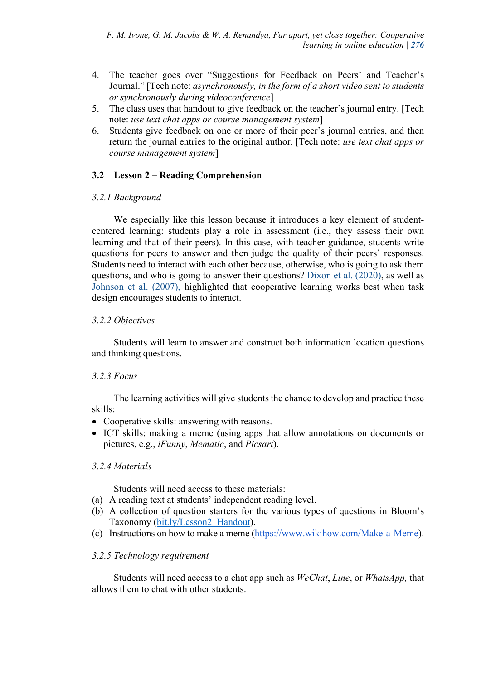- 4. The teacher goes over "Suggestions for Feedback on Peers' and Teacher's Journal." [Tech note: *asynchronously, in the form of a short video sent to students or synchronously during videoconference*]
- 5. The class uses that handout to give feedback on the teacher's journal entry. [Tech note: *use text chat apps or course management system*]
- 6. Students give feedback on one or more of their peer's journal entries, and then return the journal entries to the original author. [Tech note: *use text chat apps or course management system*]

# **3.2 Lesson 2 – Reading Comprehension**

### *3.2.1 Background*

We especially like this lesson because it introduces a key element of studentcentered learning: students play a role in assessment (i.e., they assess their own learning and that of their peers). In this case, with teacher guidance, students write questions for peers to answer and then judge the quality of their peers' responses. Students need to interact with each other because, otherwise, who is going to ask them questions, and who is going to answer their questions? Dixon et al. (2020), as well as Johnson et al. (2007), highlighted that cooperative learning works best when task design encourages students to interact.

# *3.2.2 Objectives*

Students will learn to answer and construct both information location questions and thinking questions.

# *3.2.3 Focus*

The learning activities will give students the chance to develop and practice these skills:

- Cooperative skills: answering with reasons.
- ICT skills: making a meme (using apps that allow annotations on documents or pictures, e.g., *iFunny*, *Mematic*, and *Picsart*).

# *3.2.4 Materials*

Students will need access to these materials:

- (a) A reading text at students' independent reading level.
- (b) A collection of question starters for the various types of questions in Bloom's Taxonomy (bit.ly/Lesson2\_Handout).
- (c) Instructions on how to make a meme (https://www.wikihow.com/Make-a-Meme).

# *3.2.5 Technology requirement*

Students will need access to a chat app such as *WeChat*, *Line*, or *WhatsApp,* that allows them to chat with other students.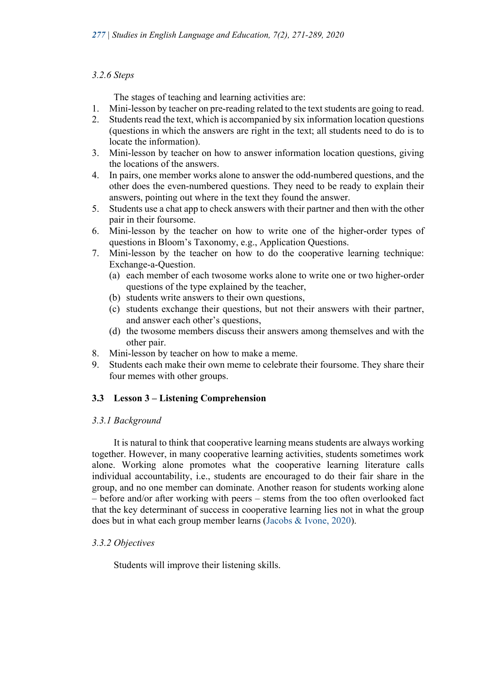### *3.2.6 Steps*

The stages of teaching and learning activities are:

- 1. Mini-lesson by teacher on pre-reading related to the text students are going to read.
- 2. Students read the text, which is accompanied by six information location questions (questions in which the answers are right in the text; all students need to do is to locate the information).
- 3. Mini-lesson by teacher on how to answer information location questions, giving the locations of the answers.
- 4. In pairs, one member works alone to answer the odd-numbered questions, and the other does the even-numbered questions. They need to be ready to explain their answers, pointing out where in the text they found the answer.
- 5. Students use a chat app to check answers with their partner and then with the other pair in their foursome.
- 6. Mini-lesson by the teacher on how to write one of the higher-order types of questions in Bloom's Taxonomy, e.g., Application Questions.
- 7. Mini-lesson by the teacher on how to do the cooperative learning technique: Exchange-a-Question.
	- (a) each member of each twosome works alone to write one or two higher-order questions of the type explained by the teacher,
	- (b) students write answers to their own questions,
	- (c) students exchange their questions, but not their answers with their partner, and answer each other's questions,
	- (d) the twosome members discuss their answers among themselves and with the other pair.
- 8. Mini-lesson by teacher on how to make a meme.
- 9. Students each make their own meme to celebrate their foursome. They share their four memes with other groups.

# **3.3 Lesson 3 – Listening Comprehension**

# *3.3.1 Background*

It is natural to think that cooperative learning means students are always working together. However, in many cooperative learning activities, students sometimes work alone. Working alone promotes what the cooperative learning literature calls individual accountability, i.e., students are encouraged to do their fair share in the group, and no one member can dominate. Another reason for students working alone – before and/or after working with peers – stems from the too often overlooked fact that the key determinant of success in cooperative learning lies not in what the group does but in what each group member learns (Jacobs & Ivone, 2020).

# *3.3.2 Objectives*

Students will improve their listening skills.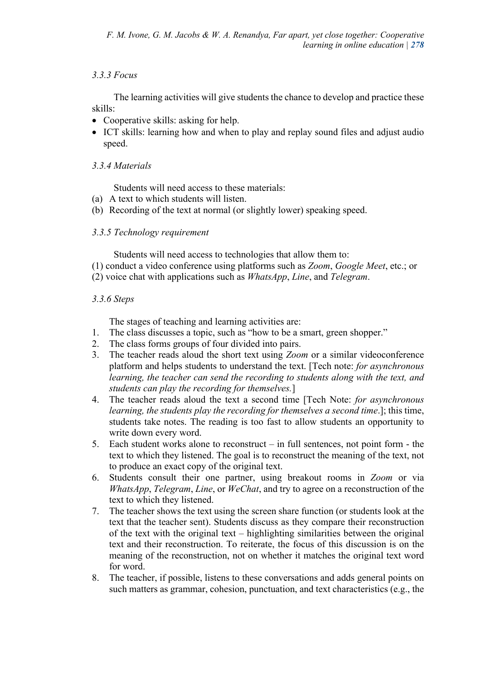# *3.3.3 Focus*

The learning activities will give students the chance to develop and practice these skills:

- Cooperative skills: asking for help.
- ICT skills: learning how and when to play and replay sound files and adjust audio speed.

# *3.3.4 Materials*

Students will need access to these materials:

- (a) A text to which students will listen.
- (b) Recording of the text at normal (or slightly lower) speaking speed.

# *3.3.5 Technology requirement*

Students will need access to technologies that allow them to:

- (1) conduct a video conference using platforms such as *Zoom*, *Google Meet*, etc.; or
- (2) voice chat with applications such as *WhatsApp*, *Line*, and *Telegram*.

# *3.3.6 Steps*

The stages of teaching and learning activities are:

- 1. The class discusses a topic, such as "how to be a smart, green shopper."
- 2. The class forms groups of four divided into pairs.
- 3. The teacher reads aloud the short text using *Zoom* or a similar videoconference platform and helps students to understand the text. [Tech note: *for asynchronous learning, the teacher can send the recording to students along with the text, and students can play the recording for themselves.*]
- 4. The teacher reads aloud the text a second time [Tech Note: *for asynchronous learning, the students play the recording for themselves a second time*.]; this time, students take notes. The reading is too fast to allow students an opportunity to write down every word.
- 5. Each student works alone to reconstruct in full sentences, not point form the text to which they listened. The goal is to reconstruct the meaning of the text, not to produce an exact copy of the original text.
- 6. Students consult their one partner, using breakout rooms in *Zoom* or via *WhatsApp*, *Telegram*, *Line*, or *WeChat*, and try to agree on a reconstruction of the text to which they listened.
- 7. The teacher shows the text using the screen share function (or students look at the text that the teacher sent). Students discuss as they compare their reconstruction of the text with the original text – highlighting similarities between the original text and their reconstruction. To reiterate, the focus of this discussion is on the meaning of the reconstruction, not on whether it matches the original text word for word.
- 8. The teacher, if possible, listens to these conversations and adds general points on such matters as grammar, cohesion, punctuation, and text characteristics (e.g., the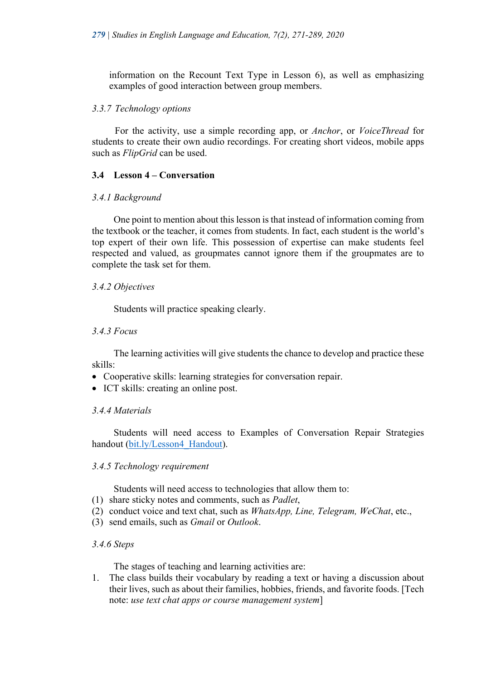information on the Recount Text Type in Lesson 6), as well as emphasizing examples of good interaction between group members.

#### *3.3.7 Technology options*

For the activity, use a simple recording app, or *Anchor*, or *VoiceThread* for students to create their own audio recordings. For creating short videos, mobile apps such as *FlipGrid* can be used.

# **3.4 Lesson 4 – Conversation**

### *3.4.1 Background*

One point to mention about this lesson is that instead of information coming from the textbook or the teacher, it comes from students. In fact, each student is the world's top expert of their own life. This possession of expertise can make students feel respected and valued, as groupmates cannot ignore them if the groupmates are to complete the task set for them.

### *3.4.2 Objectives*

Students will practice speaking clearly.

### *3.4.3 Focus*

The learning activities will give students the chance to develop and practice these skills:

- Cooperative skills: learning strategies for conversation repair.
- ICT skills: creating an online post.

# *3.4.4 Materials*

Students will need access to Examples of Conversation Repair Strategies handout (bit.ly/Lesson4\_Handout).

#### *3.4.5 Technology requirement*

Students will need access to technologies that allow them to:

- (1) share sticky notes and comments, such as *Padlet*,
- (2) conduct voice and text chat, such as *WhatsApp, Line, Telegram, WeChat*, etc.,
- (3) send emails, such as *Gmail* or *Outlook*.

#### *3.4.6 Steps*

The stages of teaching and learning activities are:

1. The class builds their vocabulary by reading a text or having a discussion about their lives, such as about their families, hobbies, friends, and favorite foods. [Tech note: *use text chat apps or course management system*]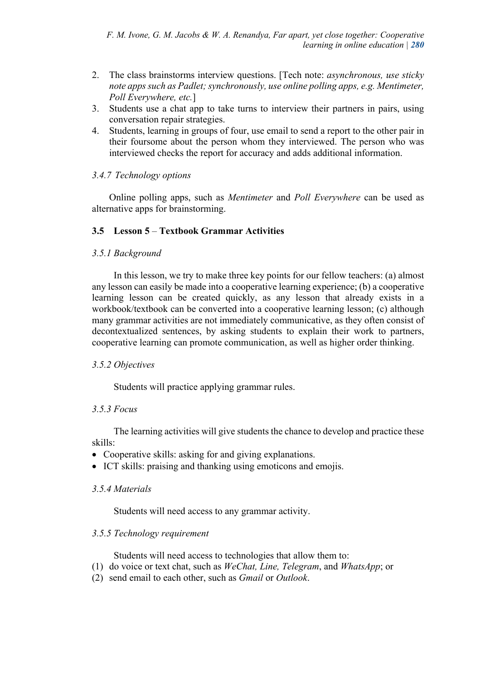- 2. The class brainstorms interview questions. [Tech note: *asynchronous, use sticky note apps such as Padlet; synchronously, use online polling apps, e.g. Mentimeter, Poll Everywhere, etc.*]
- 3. Students use a chat app to take turns to interview their partners in pairs, using conversation repair strategies.
- 4. Students, learning in groups of four, use email to send a report to the other pair in their foursome about the person whom they interviewed. The person who was interviewed checks the report for accuracy and adds additional information.

# *3.4.7 Technology options*

Online polling apps, such as *Mentimeter* and *Poll Everywhere* can be used as alternative apps for brainstorming.

# **3.5 Lesson 5** – **Textbook Grammar Activities**

### *3.5.1 Background*

In this lesson, we try to make three key points for our fellow teachers: (a) almost any lesson can easily be made into a cooperative learning experience; (b) a cooperative learning lesson can be created quickly, as any lesson that already exists in a workbook/textbook can be converted into a cooperative learning lesson; (c) although many grammar activities are not immediately communicative, as they often consist of decontextualized sentences, by asking students to explain their work to partners, cooperative learning can promote communication, as well as higher order thinking.

# *3.5.2 Objectives*

Students will practice applying grammar rules.

# *3.5.3 Focus*

The learning activities will give students the chance to develop and practice these skills:

- Cooperative skills: asking for and giving explanations.
- ICT skills: praising and thanking using emoticons and emojis.

#### *3.5.4 Materials*

Students will need access to any grammar activity.

#### *3.5.5 Technology requirement*

Students will need access to technologies that allow them to:

- (1) do voice or text chat, such as *WeChat, Line, Telegram*, and *WhatsApp*; or
- (2) send email to each other, such as *Gmail* or *Outlook*.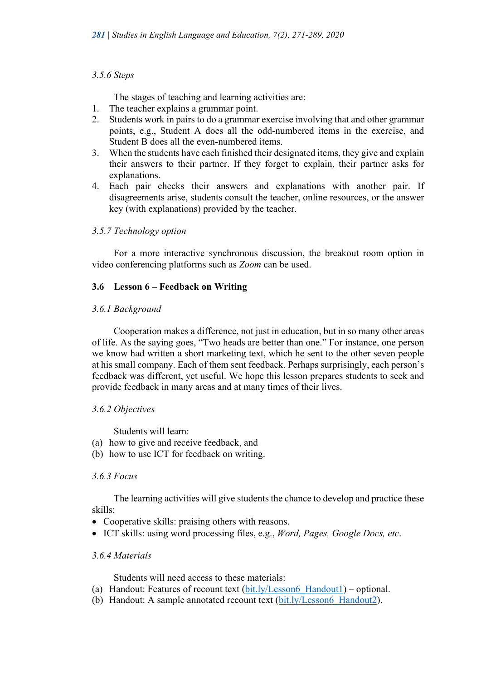### *3.5.6 Steps*

The stages of teaching and learning activities are:

- 1. The teacher explains a grammar point.
- 2. Students work in pairs to do a grammar exercise involving that and other grammar points, e.g., Student A does all the odd-numbered items in the exercise, and Student B does all the even-numbered items.
- 3. When the students have each finished their designated items, they give and explain their answers to their partner. If they forget to explain, their partner asks for explanations.
- 4. Each pair checks their answers and explanations with another pair. If disagreements arise, students consult the teacher, online resources, or the answer key (with explanations) provided by the teacher.

# *3.5.7 Technology option*

For a more interactive synchronous discussion, the breakout room option in video conferencing platforms such as *Zoom* can be used.

# **3.6 Lesson 6 – Feedback on Writing**

### *3.6.1 Background*

Cooperation makes a difference, not just in education, but in so many other areas of life. As the saying goes, "Two heads are better than one." For instance, one person we know had written a short marketing text, which he sent to the other seven people at his small company. Each of them sent feedback. Perhaps surprisingly, each person's feedback was different, yet useful. We hope this lesson prepares students to seek and provide feedback in many areas and at many times of their lives.

# *3.6.2 Objectives*

Students will learn:

- (a) how to give and receive feedback, and
- (b) how to use ICT for feedback on writing.

#### *3.6.3 Focus*

The learning activities will give students the chance to develop and practice these skills:

- Cooperative skills: praising others with reasons.
- ICT skills: using word processing files, e.g., *Word, Pages, Google Docs, etc*.

#### *3.6.4 Materials*

Students will need access to these materials:

- (a) Handout: Features of recount text  $(bit.1v/Lesson6-Handout1)$  optional.
- (b) Handout: A sample annotated recount text (bit.ly/Lesson6\_Handout2).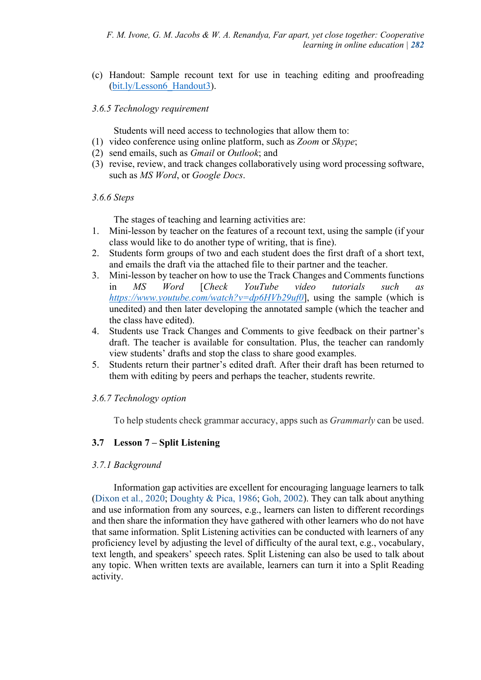(c) Handout: Sample recount text for use in teaching editing and proofreading (bit.ly/Lesson6\_Handout3).

#### *3.6.5 Technology requirement*

Students will need access to technologies that allow them to:

- (1) video conference using online platform, such as *Zoom* or *Skype*;
- (2) send emails, such as *Gmail* or *Outlook*; and
- (3) revise, review, and track changes collaboratively using word processing software, such as *MS Word*, or *Google Docs*.

#### *3.6.6 Steps*

The stages of teaching and learning activities are:

- 1. Mini-lesson by teacher on the features of a recount text, using the sample (if your class would like to do another type of writing, that is fine).
- 2. Students form groups of two and each student does the first draft of a short text, and emails the draft via the attached file to their partner and the teacher.
- 3. Mini-lesson by teacher on how to use the Track Changes and Comments functions in *MS Word* [*Check YouTube video tutorials such as https://www.youtube.com/watch?v=dp6HVb29uf0*], using the sample (which is unedited) and then later developing the annotated sample (which the teacher and the class have edited).
- 4. Students use Track Changes and Comments to give feedback on their partner's draft. The teacher is available for consultation. Plus, the teacher can randomly view students' drafts and stop the class to share good examples.
- 5. Students return their partner's edited draft. After their draft has been returned to them with editing by peers and perhaps the teacher, students rewrite.

# *3.6.7 Technology option*

To help students check grammar accuracy, apps such as *Grammarly* can be used.

# **3.7 Lesson 7 – Split Listening**

#### *3.7.1 Background*

Information gap activities are excellent for encouraging language learners to talk (Dixon et al., 2020; Doughty & Pica, 1986; Goh, 2002). They can talk about anything and use information from any sources, e.g., learners can listen to different recordings and then share the information they have gathered with other learners who do not have that same information. Split Listening activities can be conducted with learners of any proficiency level by adjusting the level of difficulty of the aural text, e.g., vocabulary, text length, and speakers' speech rates. Split Listening can also be used to talk about any topic. When written texts are available, learners can turn it into a Split Reading activity.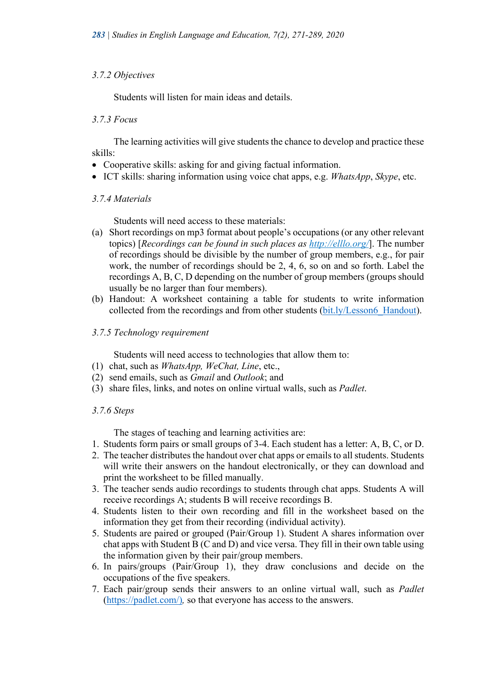#### *3.7.2 Objectives*

Students will listen for main ideas and details.

#### *3.7.3 Focus*

The learning activities will give students the chance to develop and practice these skills:

- Cooperative skills: asking for and giving factual information.
- ICT skills: sharing information using voice chat apps, e.g. *WhatsApp*, *Skype*, etc.

#### *3.7.4 Materials*

Students will need access to these materials:

- (a) Short recordings on mp3 format about people's occupations (or any other relevant topics) [*Recordings can be found in such places as http://elllo.org/*]. The number of recordings should be divisible by the number of group members, e.g., for pair work, the number of recordings should be 2, 4, 6, so on and so forth. Label the recordings A, B, C, D depending on the number of group members (groups should usually be no larger than four members).
- (b) Handout: A worksheet containing a table for students to write information collected from the recordings and from other students (bit.ly/Lesson6\_Handout).

#### *3.7.5 Technology requirement*

Students will need access to technologies that allow them to:

- (1) chat, such as *WhatsApp, WeChat, Line*, etc.,
- (2) send emails, such as *Gmail* and *Outlook*; and
- (3) share files, links, and notes on online virtual walls, such as *Padlet*.

#### *3.7.6 Steps*

The stages of teaching and learning activities are:

- 1. Students form pairs or small groups of 3-4. Each student has a letter: A, B, C, or D.
- 2. The teacher distributes the handout over chat apps or emails to all students. Students will write their answers on the handout electronically, or they can download and print the worksheet to be filled manually.
- 3. The teacher sends audio recordings to students through chat apps. Students A will receive recordings A; students B will receive recordings B.
- 4. Students listen to their own recording and fill in the worksheet based on the information they get from their recording (individual activity).
- 5. Students are paired or grouped (Pair/Group 1). Student A shares information over chat apps with Student B (C and D) and vice versa. They fill in their own table using the information given by their pair/group members.
- 6. In pairs/groups (Pair/Group 1), they draw conclusions and decide on the occupations of the five speakers.
- 7. Each pair/group sends their answers to an online virtual wall, such as *Padlet*  (https://padlet.com/)*,* so that everyone has access to the answers.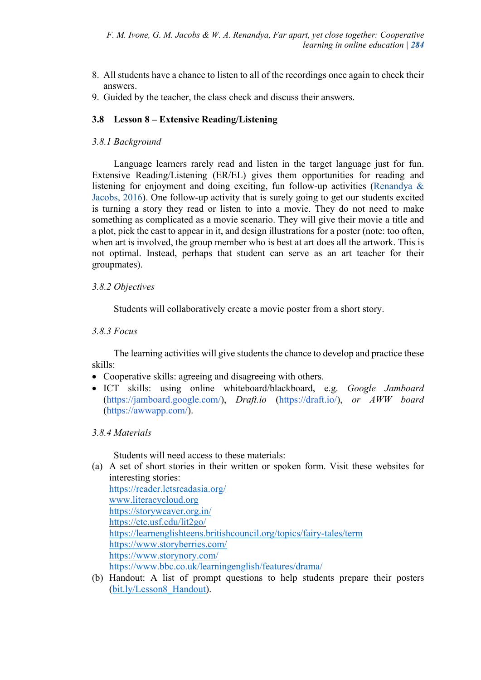- 8. All students have a chance to listen to all of the recordings once again to check their answers.
- 9. Guided by the teacher, the class check and discuss their answers.

# **3.8 Lesson 8 – Extensive Reading/Listening**

# *3.8.1 Background*

Language learners rarely read and listen in the target language just for fun. Extensive Reading/Listening (ER/EL) gives them opportunities for reading and listening for enjoyment and doing exciting, fun follow-up activities (Renandya & Jacobs, 2016). One follow-up activity that is surely going to get our students excited is turning a story they read or listen to into a movie. They do not need to make something as complicated as a movie scenario. They will give their movie a title and a plot, pick the cast to appear in it, and design illustrations for a poster (note: too often, when art is involved, the group member who is best at art does all the artwork. This is not optimal. Instead, perhaps that student can serve as an art teacher for their groupmates).

# *3.8.2 Objectives*

Students will collaboratively create a movie poster from a short story.

# *3.8.3 Focus*

The learning activities will give students the chance to develop and practice these skills:

- Cooperative skills: agreeing and disagreeing with others.
- ICT skills: using online whiteboard/blackboard, e.g. *Google Jamboard*  (https://jamboard.google.com/), *Draft.io* (https://draft.io/), *or AWW board*  (https://awwapp.com/).

# *3.8.4 Materials*

Students will need access to these materials:

(a) A set of short stories in their written or spoken form. Visit these websites for interesting stories:

| https://reader.letsreadasia.org/                                     |
|----------------------------------------------------------------------|
| www.literacycloud.org                                                |
| https://storyweaver.org.in/                                          |
| https://etc.usf.edu/lit2go/                                          |
| https://learnenglishteens.britishcouncil.org/topics/fairy-tales/term |
| https://www.storyberries.com/                                        |
| https://www.storynory.com/                                           |
| https://www.bbc.co.uk/learningenglish/features/drama/                |

(b) Handout: A list of prompt questions to help students prepare their posters (bit.ly/Lesson8\_Handout).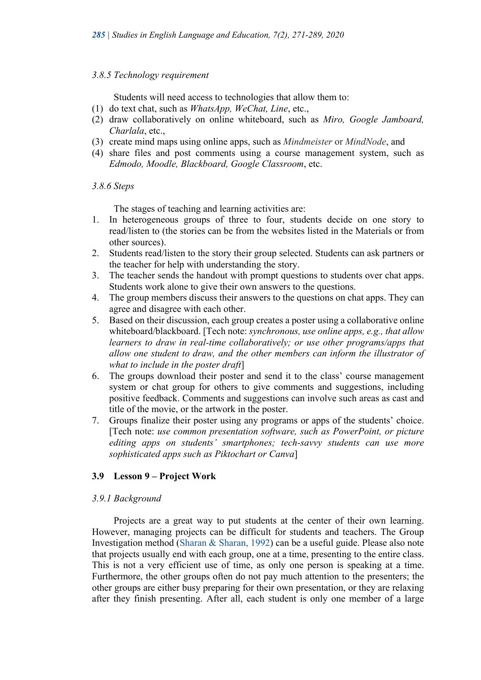#### *3.8.5 Technology requirement*

Students will need access to technologies that allow them to:

- (1) do text chat, such as *WhatsApp, WeChat, Line*, etc.,
- (2) draw collaboratively on online whiteboard, such as *Miro, Google Jamboard, Charlala*, etc.,
- (3) create mind maps using online apps, such as *Mindmeister* or *MindNode*, and
- (4) share files and post comments using a course management system, such as *Edmodo, Moodle, Blackboard, Google Classroom*, etc.

#### *3.8.6 Steps*

The stages of teaching and learning activities are:

- 1. In heterogeneous groups of three to four, students decide on one story to read/listen to (the stories can be from the websites listed in the Materials or from other sources).
- 2. Students read/listen to the story their group selected. Students can ask partners or the teacher for help with understanding the story.
- 3. The teacher sends the handout with prompt questions to students over chat apps. Students work alone to give their own answers to the questions.
- 4. The group members discuss their answers to the questions on chat apps. They can agree and disagree with each other.
- 5. Based on their discussion, each group creates a poster using a collaborative online whiteboard/blackboard. [Tech note: *synchronous, use online apps, e.g., that allow learners to draw in real-time collaboratively; or use other programs/apps that allow one student to draw, and the other members can inform the illustrator of what to include in the poster draft*]
- 6. The groups download their poster and send it to the class' course management system or chat group for others to give comments and suggestions, including positive feedback. Comments and suggestions can involve such areas as cast and title of the movie, or the artwork in the poster.
- 7. Groups finalize their poster using any programs or apps of the students' choice. [Tech note: *use common presentation software, such as PowerPoint, or picture editing apps on students' smartphones; tech-savvy students can use more sophisticated apps such as Piktochart or Canva*]

# **3.9 Lesson 9 – Project Work**

#### *3.9.1 Background*

Projects are a great way to put students at the center of their own learning. However, managing projects can be difficult for students and teachers. The Group Investigation method (Sharan & Sharan, 1992) can be a useful guide. Please also note that projects usually end with each group, one at a time, presenting to the entire class. This is not a very efficient use of time, as only one person is speaking at a time. Furthermore, the other groups often do not pay much attention to the presenters; the other groups are either busy preparing for their own presentation, or they are relaxing after they finish presenting. After all, each student is only one member of a large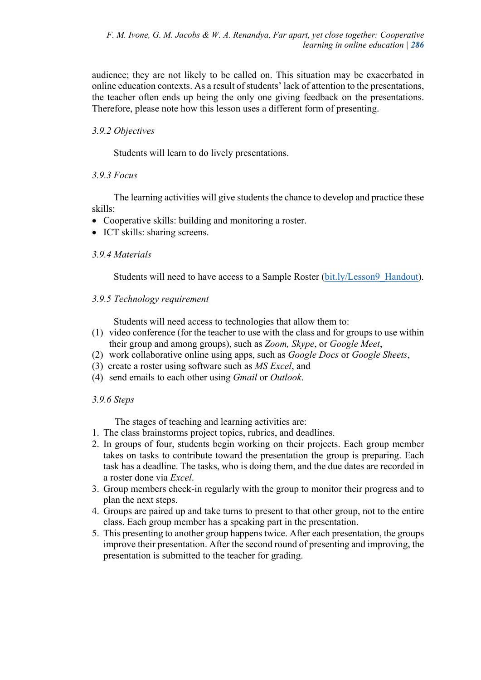audience; they are not likely to be called on. This situation may be exacerbated in online education contexts. As a result of students' lack of attention to the presentations, the teacher often ends up being the only one giving feedback on the presentations. Therefore, please note how this lesson uses a different form of presenting.

# *3.9.2 Objectives*

Students will learn to do lively presentations.

# *3.9.3 Focus*

The learning activities will give students the chance to develop and practice these skills:

- Cooperative skills: building and monitoring a roster.
- ICT skills: sharing screens.

# *3.9.4 Materials*

Students will need to have access to a Sample Roster (bit.ly/Lesson9\_Handout).

# *3.9.5 Technology requirement*

Students will need access to technologies that allow them to:

- (1) video conference (for the teacher to use with the class and for groups to use within their group and among groups), such as *Zoom, Skype*, or *Google Meet*,
- (2) work collaborative online using apps, such as *Google Docs* or *Google Sheets*,
- (3) create a roster using software such as *MS Excel*, and
- (4) send emails to each other using *Gmail* or *Outlook*.

# *3.9.6 Steps*

The stages of teaching and learning activities are:

- 1. The class brainstorms project topics, rubrics, and deadlines.
- 2. In groups of four, students begin working on their projects. Each group member takes on tasks to contribute toward the presentation the group is preparing. Each task has a deadline. The tasks, who is doing them, and the due dates are recorded in a roster done via *Excel*.
- 3. Group members check-in regularly with the group to monitor their progress and to plan the next steps.
- 4. Groups are paired up and take turns to present to that other group, not to the entire class. Each group member has a speaking part in the presentation.
- 5. This presenting to another group happens twice. After each presentation, the groups improve their presentation. After the second round of presenting and improving, the presentation is submitted to the teacher for grading.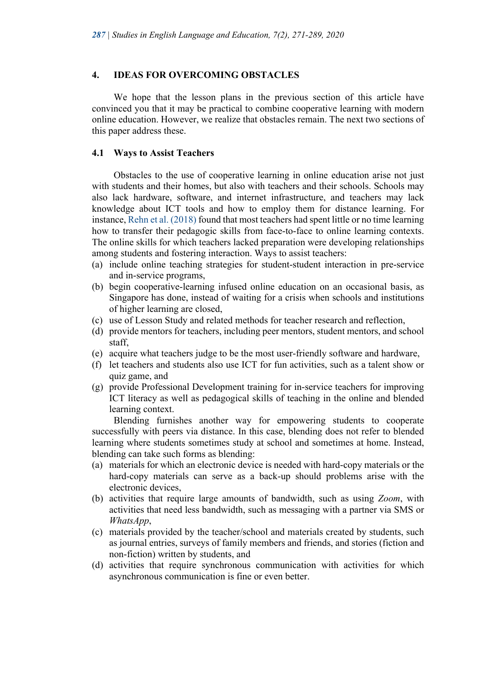#### **4. IDEAS FOR OVERCOMING OBSTACLES**

We hope that the lesson plans in the previous section of this article have convinced you that it may be practical to combine cooperative learning with modern online education. However, we realize that obstacles remain. The next two sections of this paper address these.

#### **4.1 Ways to Assist Teachers**

Obstacles to the use of cooperative learning in online education arise not just with students and their homes, but also with teachers and their schools. Schools may also lack hardware, software, and internet infrastructure, and teachers may lack knowledge about ICT tools and how to employ them for distance learning. For instance, Rehn et al. (2018) found that most teachers had spent little or no time learning how to transfer their pedagogic skills from face-to-face to online learning contexts. The online skills for which teachers lacked preparation were developing relationships among students and fostering interaction. Ways to assist teachers:

- (a) include online teaching strategies for student-student interaction in pre-service and in-service programs,
- (b) begin cooperative-learning infused online education on an occasional basis, as Singapore has done, instead of waiting for a crisis when schools and institutions of higher learning are closed,
- (c) use of Lesson Study and related methods for teacher research and reflection,
- (d) provide mentors for teachers, including peer mentors, student mentors, and school staff,
- (e) acquire what teachers judge to be the most user-friendly software and hardware,
- (f) let teachers and students also use ICT for fun activities, such as a talent show or quiz game, and
- (g) provide Professional Development training for in-service teachers for improving ICT literacy as well as pedagogical skills of teaching in the online and blended learning context.

Blending furnishes another way for empowering students to cooperate successfully with peers via distance. In this case, blending does not refer to blended learning where students sometimes study at school and sometimes at home. Instead, blending can take such forms as blending:

- (a) materials for which an electronic device is needed with hard-copy materials or the hard-copy materials can serve as a back-up should problems arise with the electronic devices,
- (b) activities that require large amounts of bandwidth, such as using *Zoom*, with activities that need less bandwidth, such as messaging with a partner via SMS or *WhatsApp*,
- (c) materials provided by the teacher/school and materials created by students, such as journal entries, surveys of family members and friends, and stories (fiction and non-fiction) written by students, and
- (d) activities that require synchronous communication with activities for which asynchronous communication is fine or even better.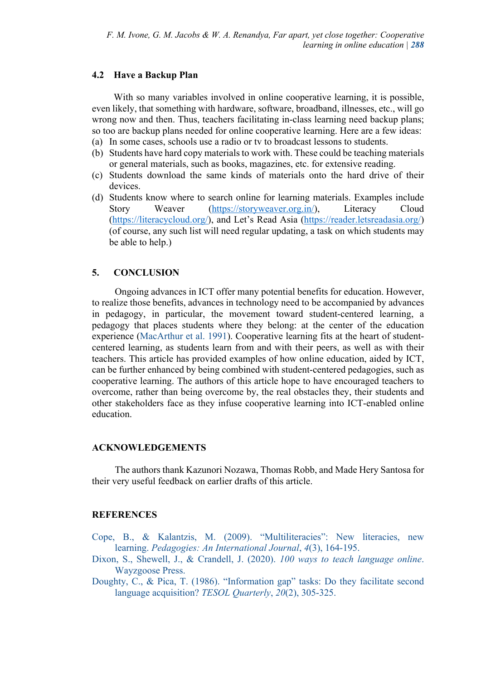#### **4.2 Have a Backup Plan**

With so many variables involved in online cooperative learning, it is possible, even likely, that something with hardware, software, broadband, illnesses, etc., will go wrong now and then. Thus, teachers facilitating in-class learning need backup plans; so too are backup plans needed for online cooperative learning. Here are a few ideas:

- (a) In some cases, schools use a radio or tv to broadcast lessons to students.
- (b) Students have hard copy materials to work with. These could be teaching materials or general materials, such as books, magazines, etc. for extensive reading.
- (c) Students download the same kinds of materials onto the hard drive of their devices.
- (d) Students know where to search online for learning materials. Examples include Story Weaver (https://storyweaver.org.in/), Literacy Cloud (https://literacycloud.org/), and Let's Read Asia (https://reader.letsreadasia.org/) (of course, any such list will need regular updating, a task on which students may be able to help.)

#### **5. CONCLUSION**

Ongoing advances in ICT offer many potential benefits for education. However, to realize those benefits, advances in technology need to be accompanied by advances in pedagogy, in particular, the movement toward student-centered learning, a pedagogy that places students where they belong: at the center of the education experience (MacArthur et al. 1991). Cooperative learning fits at the heart of studentcentered learning, as students learn from and with their peers, as well as with their teachers. This article has provided examples of how online education, aided by ICT, can be further enhanced by being combined with student-centered pedagogies, such as cooperative learning. The authors of this article hope to have encouraged teachers to overcome, rather than being overcome by, the real obstacles they, their students and other stakeholders face as they infuse cooperative learning into ICT-enabled online education.

#### **ACKNOWLEDGEMENTS**

The authors thank Kazunori Nozawa, Thomas Robb, and Made Hery Santosa for their very useful feedback on earlier drafts of this article.

#### **REFERENCES**

- Cope, B., & Kalantzis, M. (2009). "Multiliteracies": New literacies, new learning. *Pedagogies: An International Journal*, *4*(3), 164-195.
- Dixon, S., Shewell, J., & Crandell, J. (2020). *100 ways to teach language online*. Wayzgoose Press.
- Doughty, C., & Pica, T. (1986). "Information gap" tasks: Do they facilitate second language acquisition? *TESOL Quarterly*, *20*(2), 305-325.